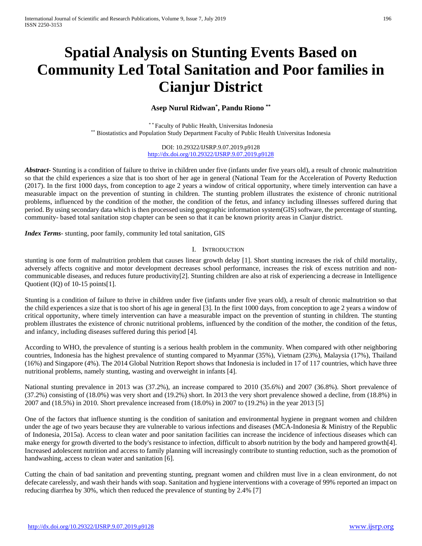# **Spatial Analysis on Stunting Events Based on Community Led Total Sanitation and Poor families in Cianjur District**

# **Asep Nurul Ridwan\* , Pandu Riono \*\***

\*\* Faculty of Public Health, Universitas Indonesia \*\* Biostatistics and Population Study Department Faculty of Public Health Universitas Indonesia

> DOI: 10.29322/IJSRP.9.07.2019.p9128 <http://dx.doi.org/10.29322/IJSRP.9.07.2019.p9128>

*Abstract***-** Stunting is a condition of failure to thrive in children under five (infants under five years old), a result of chronic malnutrition so that the child experiences a size that is too short of her age in general (National Team for the Acceleration of Poverty Reduction (2017). In the first 1000 days, from conception to age 2 years a window of critical opportunity, where timely intervention can have a measurable impact on the prevention of stunting in children. The stunting problem illustrates the existence of chronic nutritional problems, influenced by the condition of the mother, the condition of the fetus, and infancy including illnesses suffered during that period. By using secondary data which is then processed using geographic information system(GIS) software, the percentage of stunting, community- based total sanitation stop chapter can be seen so that it can be known priority areas in Cianjur district.

*Index Terms*- stunting, poor family, community led total sanitation, GIS

#### I. INTRODUCTION

stunting is one form of malnutrition problem that causes linear growth delay [1]. Short stunting increases the risk of child mortality, adversely affects cognitive and motor development decreases school performance, increases the risk of excess nutrition and noncommunicable diseases, and reduces future productivity[2]. Stunting children are also at risk of experiencing a decrease in Intelligence Quotient (IQ) of 10-15 points[1].

Stunting is a condition of failure to thrive in children under five (infants under five years old), a result of chronic malnutrition so that the child experiences a size that is too short of his age in general [3]. In the first 1000 days, from conception to age 2 years a window of critical opportunity, where timely intervention can have a measurable impact on the prevention of stunting in children. The stunting problem illustrates the existence of chronic nutritional problems, influenced by the condition of the mother, the condition of the fetus, and infancy, including diseases suffered during this period [4].

According to WHO, the prevalence of stunting is a serious health problem in the community. When compared with other neighboring countries, Indonesia has the highest prevalence of stunting compared to Myanmar (35%), Vietnam (23%), Malaysia (17%), Thailand (16%) and Singapore (4%). The 2014 Global Nutrition Report shows that Indonesia is included in 17 of 117 countries, which have three nutritional problems, namely stunting, wasting and overweight in infants [4].

National stunting prevalence in 2013 was (37.2%), an increase compared to 2010 (35.6%) and 2007 (36.8%). Short prevalence of (37.2%) consisting of (18.0%) was very short and (19.2%) short. In 2013 the very short prevalence showed a decline, from (18.8%) in 2007 and (18.5%) in 2010. Short prevalence increased from (18.0%) in 2007 to (19.2%) in the year 2013 [5]

One of the factors that influence stunting is the condition of sanitation and environmental hygiene in pregnant women and children under the age of two years because they are vulnerable to various infections and diseases (MCA-Indonesia & Ministry of the Republic of Indonesia, 2015a). Access to clean water and poor sanitation facilities can increase the incidence of infectious diseases which can make energy for growth diverted to the body's resistance to infection, difficult to absorb nutrition by the body and hampered growth[4]. Increased adolescent nutrition and access to family planning will increasingly contribute to stunting reduction, such as the promotion of handwashing, access to clean water and sanitation [6].

Cutting the chain of bad sanitation and preventing stunting, pregnant women and children must live in a clean environment, do not defecate carelessly, and wash their hands with soap. Sanitation and hygiene interventions with a coverage of 99% reported an impact on reducing diarrhea by 30%, which then reduced the prevalence of stunting by 2.4% [7]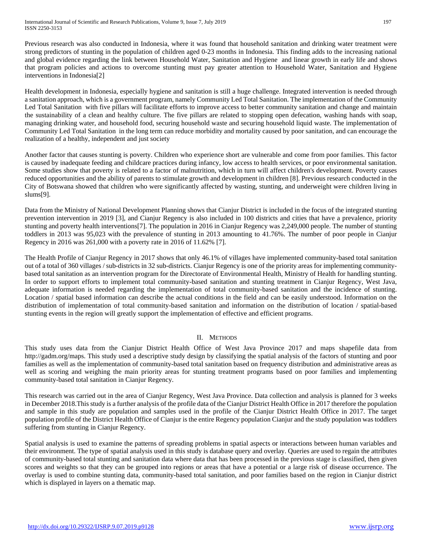Previous research was also conducted in Indonesia, where it was found that household sanitation and drinking water treatment were strong predictors of stunting in the population of children aged 0-23 months in Indonesia. This finding adds to the increasing national and global evidence regarding the link between Household Water, Sanitation and Hygiene and linear growth in early life and shows that program policies and actions to overcome stunting must pay greater attention to Household Water, Sanitation and Hygiene interventions in Indonesia[2]

Health development in Indonesia, especially hygiene and sanitation is still a huge challenge. Integrated intervention is needed through a sanitation approach, which is a government program, namely Community Led Total Sanitation. The implementation of the Community Led Total Sanitation with five pillars will facilitate efforts to improve access to better community sanitation and change and maintain the sustainability of a clean and healthy culture. The five pillars are related to stopping open defecation, washing hands with soap, managing drinking water, and household food, securing household waste and securing household liquid waste. The implementation of Community Led Total Sanitation in the long term can reduce morbidity and mortality caused by poor sanitation, and can encourage the realization of a healthy, independent and just society

Another factor that causes stunting is poverty. Children who experience short are vulnerable and come from poor families. This factor is caused by inadequate feeding and childcare practices during infancy, low access to health services, or poor environmental sanitation. Some studies show that poverty is related to a factor of malnutrition, which in turn will affect children's development. Poverty causes reduced opportunities and the ability of parents to stimulate growth and development in children [8]. Previous research conducted in the City of Botswana showed that children who were significantly affected by wasting, stunting, and underweight were children living in slums[9].

Data from the Ministry of National Development Planning shows that Cianjur District is included in the focus of the integrated stunting prevention intervention in 2019 [3], and Cianjur Regency is also included in 100 districts and cities that have a prevalence, priority stunting and poverty health interventions[7]. The population in 2016 in Cianjur Regency was 2,249,000 people. The number of stunting toddlers in 2013 was 95,023 with the prevalence of stunting in 2013 amounting to 41.76%. The number of poor people in Cianjur Regency in 2016 was 261,000 with a poverty rate in 2016 of 11.62% [7].

The Health Profile of Cianjur Regency in 2017 shows that only 46.1% of villages have implemented community-based total sanitation out of a total of 360 villages / sub-districts in 32 sub-districts. Cianjur Regency is one of the priority areas for implementing communitybased total sanitation as an intervention program for the Directorate of Environmental Health, Ministry of Health for handling stunting. In order to support efforts to implement total community-based sanitation and stunting treatment in Cianjur Regency, West Java, adequate information is needed regarding the implementation of total community-based sanitation and the incidence of stunting. Location / spatial based information can describe the actual conditions in the field and can be easily understood. Information on the distribution of implementation of total community-based sanitation and information on the distribution of location / spatial-based stunting events in the region will greatly support the implementation of effective and efficient programs.

# II. METHODS

This study uses data from the Cianjur District Health Office of West Java Province 2017 and maps shapefile data from http://gadm.org/maps. This study used a descriptive study design by classifying the spatial analysis of the factors of stunting and poor families as well as the implementation of community-based total sanitation based on frequency distribution and administrative areas as well as scoring and weighing the main priority areas for stunting treatment programs based on poor families and implementing community-based total sanitation in Cianjur Regency.

This research was carried out in the area of Cianjur Regency, West Java Province. Data collection and analysis is planned for 3 weeks in December 2018.This study is a further analysis of the profile data of the Cianjur District Health Office in 2017 therefore the population and sample in this study are population and samples used in the profile of the Cianjur District Health Office in 2017. The target population profile of the District Health Office of Cianjur is the entire Regency population Cianjur and the study population was toddlers suffering from stunting in Cianjur Regency.

Spatial analysis is used to examine the patterns of spreading problems in spatial aspects or interactions between human variables and their environment. The type of spatial analysis used in this study is database query and overlay. Queries are used to regain the attributes of community-based total stunting and sanitation data where data that has been processed in the previous stage is classified, then given scores and weights so that they can be grouped into regions or areas that have a potential or a large risk of disease occurrence. The overlay is used to combine stunting data, community-based total sanitation, and poor families based on the region in Cianjur district which is displayed in layers on a thematic map.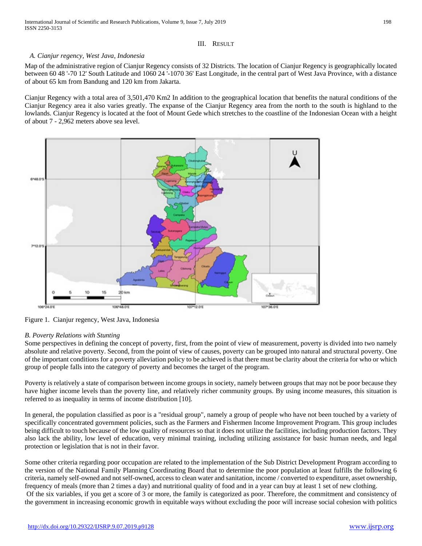## III. RESULT

## *A. Cianjur regency, West Java, Indonesia*

Map of the administrative region of Cianjur Regency consists of 32 Districts. The location of Cianjur Regency is geographically located between 60 48 '-70 12' South Latitude and 1060 24 '-1070 36' East Longitude, in the central part of West Java Province, with a distance of about 65 km from Bandung and 120 km from Jakarta.

Cianjur Regency with a total area of 3,501,470 Km2 In addition to the geographical location that benefits the natural conditions of the Cianjur Regency area it also varies greatly. The expanse of the Cianjur Regency area from the north to the south is highland to the lowlands. Cianjur Regency is located at the foot of Mount Gede which stretches to the coastline of the Indonesian Ocean with a height of about 7 - 2,962 meters above sea level.



Figure 1. Cianjur regency, West Java, Indonesia

#### *B. Poverty Relations with Stunting*

Some perspectives in defining the concept of poverty, first, from the point of view of measurement, poverty is divided into two namely absolute and relative poverty. Second, from the point of view of causes, poverty can be grouped into natural and structural poverty. One of the important conditions for a poverty alleviation policy to be achieved is that there must be clarity about the criteria for who or which group of people falls into the category of poverty and becomes the target of the program.

Poverty is relatively a state of comparison between income groups in society, namely between groups that may not be poor because they have higher income levels than the poverty line, and relatively richer community groups. By using income measures, this situation is referred to as inequality in terms of income distribution [10].

In general, the population classified as poor is a "residual group", namely a group of people who have not been touched by a variety of specifically concentrated government policies, such as the Farmers and Fishermen Income Improvement Program. This group includes being difficult to touch because of the low quality of resources so that it does not utilize the facilities, including production factors. They also lack the ability, low level of education, very minimal training, including utilizing assistance for basic human needs, and legal protection or legislation that is not in their favor.

Some other criteria regarding poor occupation are related to the implementation of the Sub District Development Program according to the version of the National Family Planning Coordinating Board that to determine the poor population at least fulfills the following 6 criteria, namely self-owned and not self-owned, access to clean water and sanitation, income / converted to expenditure, asset ownership, frequency of meals (more than 2 times a day) and nutritional quality of food and in a year can buy at least 1 set of new clothing. Of the six variables, if you get a score of 3 or more, the family is categorized as poor. Therefore, the commitment and consistency of the government in increasing economic growth in equitable ways without excluding the poor will increase social cohesion with politics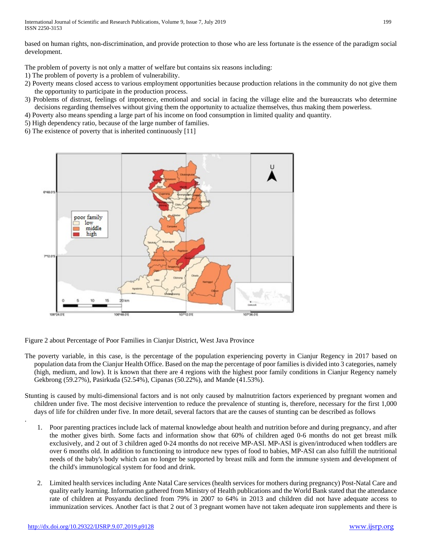based on human rights, non-discrimination, and provide protection to those who are less fortunate is the essence of the paradigm social development.

The problem of poverty is not only a matter of welfare but contains six reasons including:

1) The problem of poverty is a problem of vulnerability.

- 2) Poverty means closed access to various employment opportunities because production relations in the community do not give them the opportunity to participate in the production process.
- 3) Problems of distrust, feelings of impotence, emotional and social in facing the village elite and the bureaucrats who determine decisions regarding themselves without giving them the opportunity to actualize themselves, thus making them powerless.
- 4) Poverty also means spending a large part of his income on food consumption in limited quality and quantity.
- 5) High dependency ratio, because of the large number of families.
- 6) The existence of poverty that is inherited continuously [11]



Figure 2 about Percentage of Poor Families in Cianjur District, West Java Province

- The poverty variable, in this case, is the percentage of the population experiencing poverty in Cianjur Regency in 2017 based on population data from the Cianjur Health Office. Based on the map the percentage of poor families is divided into 3 categories, namely (high, medium, and low). It is known that there are 4 regions with the highest poor family conditions in Cianjur Regency namely Gekbrong (59.27%), Pasirkuda (52.54%), Cipanas (50.22%), and Mande (41.53%).
- Stunting is caused by multi-dimensional factors and is not only caused by malnutrition factors experienced by pregnant women and children under five. The most decisive intervention to reduce the prevalence of stunting is, therefore, necessary for the first 1,000 days of life for children under five. In more detail, several factors that are the causes of stunting can be described as follows
	- 1. Poor parenting practices include lack of maternal knowledge about health and nutrition before and during pregnancy, and after the mother gives birth. Some facts and information show that 60% of children aged 0-6 months do not get breast milk exclusively, and 2 out of 3 children aged 0-24 months do not receive MP-ASI. MP-ASI is given/introduced when toddlers are over 6 months old. In addition to functioning to introduce new types of food to babies, MP-ASI can also fulfill the nutritional needs of the baby's body which can no longer be supported by breast milk and form the immune system and development of the child's immunological system for food and drink.
	- 2. Limited health services including Ante Natal Care services (health services for mothers during pregnancy) Post-Natal Care and quality early learning. Information gathered from Ministry of Health publications and the World Bank stated that the attendance rate of children at Posyandu declined from 79% in 2007 to 64% in 2013 and children did not have adequate access to immunization services. Another fact is that 2 out of 3 pregnant women have not taken adequate iron supplements and there is

.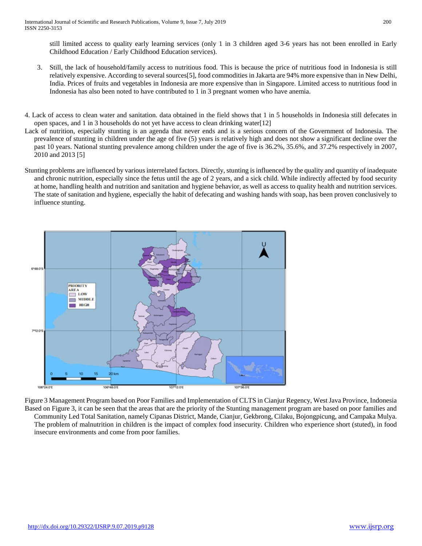still limited access to quality early learning services (only 1 in 3 children aged 3-6 years has not been enrolled in Early Childhood Education / Early Childhood Education services).

- 3. Still, the lack of household/family access to nutritious food. This is because the price of nutritious food in Indonesia is still relatively expensive. According to several sources[5], food commodities in Jakarta are 94% more expensive than in New Delhi, India. Prices of fruits and vegetables in Indonesia are more expensive than in Singapore. Limited access to nutritious food in Indonesia has also been noted to have contributed to 1 in 3 pregnant women who have anemia.
- 4. Lack of access to clean water and sanitation. data obtained in the field shows that 1 in 5 households in Indonesia still defecates in open spaces, and 1 in 3 households do not yet have access to clean drinking water[12]
- Lack of nutrition, especially stunting is an agenda that never ends and is a serious concern of the Government of Indonesia. The prevalence of stunting in children under the age of five (5) years is relatively high and does not show a significant decline over the past 10 years. National stunting prevalence among children under the age of five is 36.2%, 35.6%, and 37.2% respectively in 2007, 2010 and 2013 [5]
- Stunting problems are influenced by various interrelated factors. Directly, stunting is influenced by the quality and quantity of inadequate and chronic nutrition, especially since the fetus until the age of 2 years, and a sick child. While indirectly affected by food security at home, handling health and nutrition and sanitation and hygiene behavior, as well as access to quality health and nutrition services. The state of sanitation and hygiene, especially the habit of defecating and washing hands with soap, has been proven conclusively to influence stunting.



Figure 3 Management Program based on Poor Families and Implementation of CLTS in Cianjur Regency, West Java Province, Indonesia Based on Figure 3, it can be seen that the areas that are the priority of the Stunting management program are based on poor families and Community Led Total Sanitation, namely Cipanas District, Mande, Cianjur, Gekbrong, Cilaku, Bojongpicung, and Campaka Mulya. The problem of malnutrition in children is the impact of complex food insecurity. Children who experience short (stuted), in food insecure environments and come from poor families.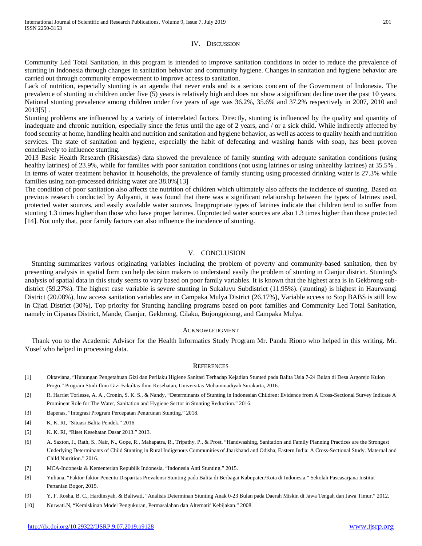#### IV. DISCUSSION

Community Led Total Sanitation, in this program is intended to improve sanitation conditions in order to reduce the prevalence of stunting in Indonesia through changes in sanitation behavior and community hygiene. Changes in sanitation and hygiene behavior are carried out through community empowerment to improve access to sanitation.

Lack of nutrition, especially stunting is an agenda that never ends and is a serious concern of the Government of Indonesia. The prevalence of stunting in children under five (5) years is relatively high and does not show a significant decline over the past 10 years. National stunting prevalence among children under five years of age was 36.2%, 35.6% and 37.2% respectively in 2007, 2010 and 2013[5] .

Stunting problems are influenced by a variety of interrelated factors. Directly, stunting is influenced by the quality and quantity of inadequate and chronic nutrition, especially since the fetus until the age of 2 years, and / or a sick child. While indirectly affected by food security at home, handling health and nutrition and sanitation and hygiene behavior, as well as access to quality health and nutrition services. The state of sanitation and hygiene, especially the habit of defecating and washing hands with soap, has been proven conclusively to influence stunting.

2013 Basic Health Research (Riskesdas) data showed the prevalence of family stunting with adequate sanitation conditions (using healthy latrines) of 23.9%, while for families with poor sanitation conditions (not using latrines or using unhealthy latrines) at 35.5% . In terms of water treatment behavior in households, the prevalence of family stunting using processed drinking water is 27.3% while families using non-processed drinking water are 38.0%[13]

The condition of poor sanitation also affects the nutrition of children which ultimately also affects the incidence of stunting. Based on previous research conducted by Adiyanti, it was found that there was a significant relationship between the types of latrines used, protected water sources, and easily available water sources. Inappropriate types of latrines indicate that children tend to suffer from stunting 1.3 times higher than those who have proper latrines. Unprotected water sources are also 1.3 times higher than those protected [14]. Not only that, poor family factors can also influence the incidence of stunting.

#### V. CONCLUSION

Stunting summarizes various originating variables including the problem of poverty and community-based sanitation, then by presenting analysis in spatial form can help decision makers to understand easily the problem of stunting in Cianjur district. Stunting's analysis of spatial data in this study seems to vary based on poor family variables. It is known that the highest area is in Gekbrong subdistrict (59.27%). The highest case variable is severe stunting in Sukaluyu Subdistrict (11.95%). (stunting) is highest in Haurwangi District (20.08%), low access sanitation variables are in Campaka Mulya District (26.17%), Variable access to Stop BABS is still low in Cijati District (30%), Top priority for Stunting handling programs based on poor families and Community Led Total Sanitation, namely in Cipanas District, Mande, Cianjur, Gekbrong, Cilaku, Bojongpicung, and Campaka Mulya.

#### ACKNOWLEDGMENT

Thank you to the Academic Advisor for the Health Informatics Study Program Mr. Pandu Riono who helped in this writing. Mr. Yosef who helped in processing data.

#### **REFERENCES**

- [1] Oktaviana, "Hubungan Pengetahuan Gizi dan Perilaku Higiene Sanitasi Terhadap Kejadian Stunted pada Balita Usia 7-24 Bulan di Desa Argorejo Kulon Progo." Program Studi Ilmu Gizi Fakultas Ilmu Kesehatan, Universitas Muhammadiyah Surakarta, 2016.
- [2] R. Harriet Torlesse, A. A., Cronin, S. K. S., & Nandy, "Determinants of Stunting in Indonesian Children: Evidence from A Cross-Sectional Survey Indicate A Prominent Role for The Water, Sanitation and Hygiene Sector in Stunting Reduction." 2016.
- [3] Bapenas, "Integrasi Program Percepatan Penurunan Stunting." 2018.
- [4] K. K. RI, "Situasi Balita Pendek." 2016.
- [5] K. K. RI, "Riset Kesehatan Dasar 2013." 2013.
- [6] A. Saxton, J., Rath, S., Nair, N., Gope, R., Mahapatra, R., Tripathy, P., & Prost, "Handwashing, Sanitation and Family Planning Practices are the Strongest Underlying Determinants of Child Stunting in Rural Indigenous Communities of Jharkhand and Odisha, Eastern India: A Cross-Sectional Study. Maternal and Child Nutrition." 2016.
- [7] MCA-Indonesia & Kementerian Republik Indonesia, "Indonesia Anti Stunting." 2015.
- [8] Yuliana, "Faktor-faktor Penentu Disparitas Prevalensi Stunting pada Balita di Berbagai Kabupaten/Kota di Indonesia." Sekolah Pascasarjana Institut Pertanian Bogor, 2015.
- [9] Y. F. Rosha, B. C., Hardinsyah, & Baliwati, "Analisis Determinan Stunting Anak 0-23 Bulan pada Daerah Miskin di Jawa Tengah dan Jawa Timur." 2012.
- [10] Nurwati.N, "Kemiskinan Model Pengukuran, Permasalahan dan Alternatif Kebijakan." 2008.